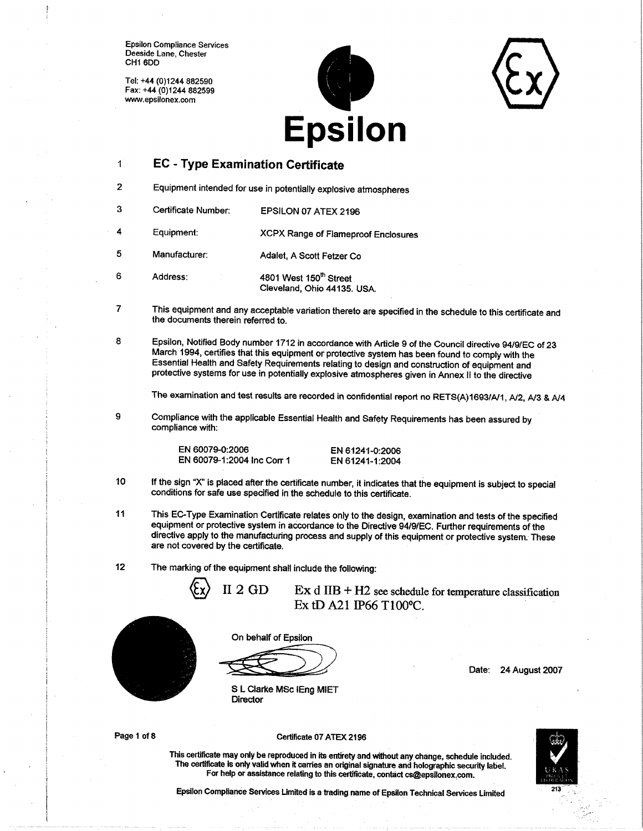Tel: +44 (0)1244 882590 Fax: +44 (0)1244 882599 www.epsilonex.com

6



#### $\ddot{\phantom{1}}$ **EC - Type Examination Certificate**

- $\overline{c}$ Equipment intended for use in potentially explosive atmospheres
- $\overline{3}$ Certificate Number: EPSILON 07 ATEX 2196
- $\overline{\mathbf{4}}$ **XCPX Range of Flameproof Enclosures** Equipment:
- 5 Manufacturer: Adalet, A Scott Fetzer Co
	- 4801 West 150<sup>th</sup> Street Address: Cleveland, Ohio 44135. USA.
- 7 This equipment and any acceptable variation thereto are specified in the schedule to this certificate and the documents therein referred to.
- 8 Epsilon, Notified Body number 1712 in accordance with Article 9 of the Council directive 94/9/EC of 23 March 1994, certifies that this equipment or protective system has been found to comply with the Essential Health and Safety Requirements relating to design and construction of equipment and protective systems for use in potentially explosive atmospheres given in Annex II to the directive

The examination and test results are recorded in confidential report no RETS(A)1693/A/1, A/2, A/3 & A/4

9 Compliance with the applicable Essential Health and Safety Requirements has been assured by compliance with:

> EN 60079-0:2006 EN 60079-1:2004 Inc Corr 1

EN 61241-0:2006 EN 61241-1:2004

- If the sign "X" is placed after the certificate number, it indicates that the equipment is subject to special 10 conditions for safe use specified in the schedule to this certificate.
- $11$ This EC-Type Examination Certificate relates only to the design, examination and tests of the specified equipment or protective system in accordance to the Directive 94/9/EC. Further requirements of the directive apply to the manufacturing process and supply of this equipment or protective system. These are not covered by the certificate.
- $12<sub>2</sub>$ The marking of the equipment shall include the following:

**Director** 

 $II 2 GD$  $\operatorname{Ex} d$  IIB + H2 see schedule for temperature classification Ex tD A21 IP66 T100°C.



On behalf of Epsilon

S L Clarke MSc IEng MIET

Date: 24 August 2007

Page 1 of 8

#### Certificate 07 ATEX 2196



This certificate may only be reproduced in its entirety and without any change, schedule included. The certificate is only valid when it carries an original signature and holographic security label. For help or assistance relating to this certificate, contact cs@epsilonex.com.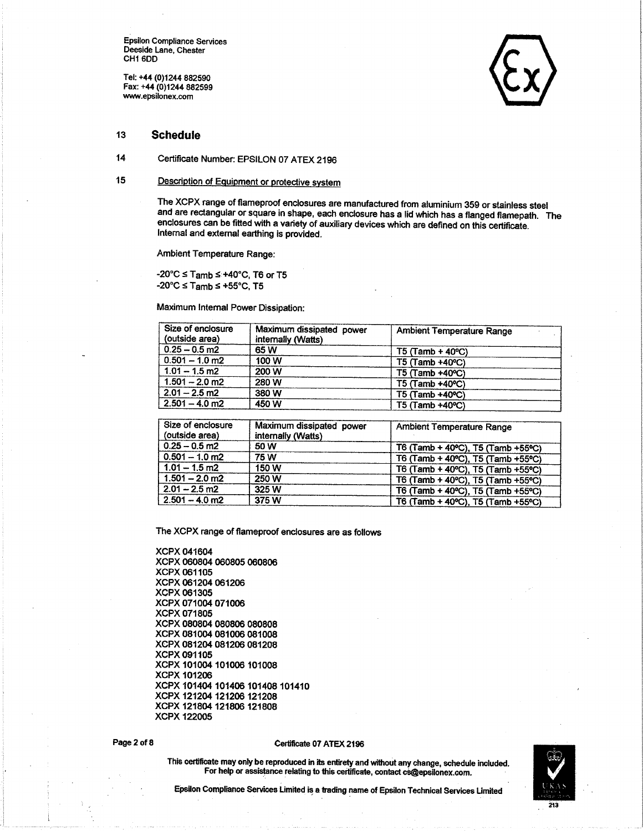Epsilon Comptiance Services Deeside Lane, Chester CH<sub>16DD</sub>

Tel: +44 (0)1244 882590 Fax: +44 (0)1214 882599 www.epsilonex.com

#### 13 **Schedule**

14 Certificate Number: EPSILON 07 ATEX 2196

#### 15 Description of Equipment or protective system

The XCPX range of flameproof enclosures are manufactured from aluminium 359 or stainless steel and are rectangular or square in shape, each enclosure has a lid which has a flanged flamepath. The enclosures can be fitted with a variety of auxiliary devices which are defined on this certificate. Intemal and exlemal earthing is provided.

Ambient Temperature Range:

 $-20^{\circ}$ C  $\le$  Tamb  $\le$  +40°C, T6 or T5  $-20^{\circ}$ C  $\leq$  Tamb  $\leq$   $+55^{\circ}$ C, T5

Maximum Intemal Power Dissipation:

| Size of enclosure<br>(outside area) | Maximum dissipated power<br>internally (Watts) | <b>Ambient Temperature Range</b> |
|-------------------------------------|------------------------------------------------|----------------------------------|
| $0.25 - 0.5$ m2                     | 65 W                                           | $T5$ (Tamb + 40 $^{\circ}$ C)    |
| $0.501 - 1.0$ m2                    | 100 W                                          | T5 (Tamb +40°C)                  |
| $1.01 - 1.5$ m2                     | 200 W                                          | $T5$ (Tamb $+40^{\circ}$ C)      |
| $1.501 - 2.0$ m2                    | 280 W                                          | $T5$ (Tamb $+40^{\circ}$ C)      |
| $2.01 - 2.5$ m2                     | 380 W                                          | $T5$ (Tamb +40 °C)               |
| $2.501 - 4.0$ m2                    | 450 W                                          | $T5$ (Tamb +40 °C)               |

| Size of enclosure<br>(outside area) | Maximum dissipated power<br>internally (Watts) | <b>Ambient Temperature Range</b>  |
|-------------------------------------|------------------------------------------------|-----------------------------------|
| $0.25 - 0.5$ m2                     | 50 W                                           | T6 (Tamb + 40°C), T5 (Tamb +55°C) |
| $0.501 - 1.0$ m2                    | 75 W                                           | T6 (Tamb + 40°C), T5 (Tamb +55°C) |
| $1.01 - 1.5$ m2                     | 150 W                                          | T6 (Tamb + 40°C), T5 (Tamb +55°C) |
| $1.501 - 2.0$ m2                    | 250 W                                          | T6 (Tamb + 40°C), T5 (Tamb +55°C) |
| $2.01 - 2.5$ m2                     | 325 W                                          | T6 (Tamb + 40°C), T5 (Tamb +55°C) |
| $2.501 - 4.0$ m2                    | 375 W                                          | T6 (Tamb + 40°C), T5 (Tamb +55°C) |

The XCPX range of flameproof enclosures are as follows

#### Page 2 of 8

#### Certificate 07 ATEX 2196



This certificate may only be reproduced in its entirety and without any change, schedule included. For help or assistance relating to this certificate, contact cs@epsilonex.com.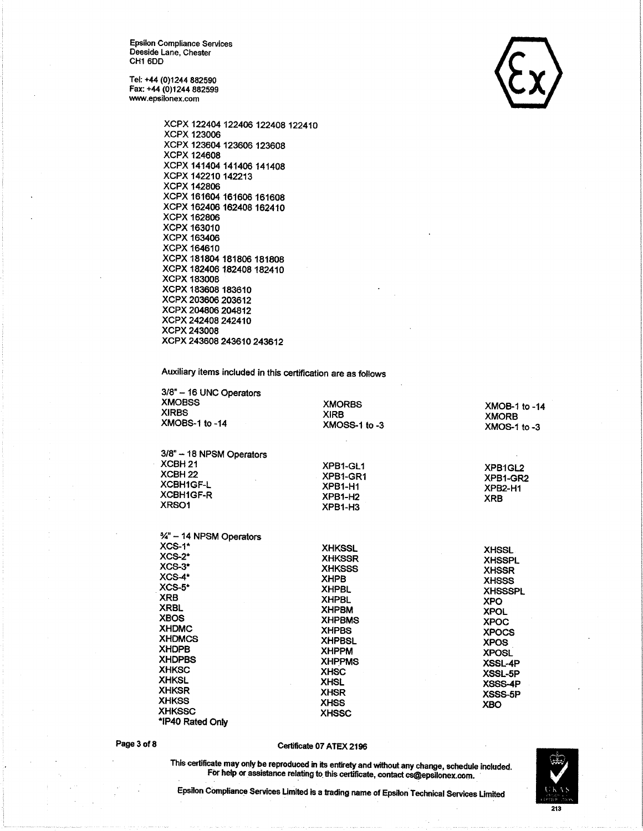Tel: +44 (0)1244 882590 Fax: +44 (0)1244 882599 www.epsilonex.com



Auxiliary items included in this certification are as follows

| 3/8" - 16 UNC Operators<br><b>XMOBSS</b><br><b>XIRBS</b><br>XMOBS-1 to -14                                                                                                                                                                                | <b>XMORBS</b><br><b>XIRB</b><br>XMOSS-1 to -3                                                                                                                                                                                   | XMOB-1 to -14<br><b>XMORB</b><br>$XMOS-1$ to $-3$                                                                                                                                                                  |
|-----------------------------------------------------------------------------------------------------------------------------------------------------------------------------------------------------------------------------------------------------------|---------------------------------------------------------------------------------------------------------------------------------------------------------------------------------------------------------------------------------|--------------------------------------------------------------------------------------------------------------------------------------------------------------------------------------------------------------------|
| 3/8" - 18 NPSM Operators<br>XCBH <sub>21</sub>                                                                                                                                                                                                            | XPB1-GL1                                                                                                                                                                                                                        |                                                                                                                                                                                                                    |
| XCBH <sub>22</sub>                                                                                                                                                                                                                                        | XPB1-GR1                                                                                                                                                                                                                        | XPB1GL2                                                                                                                                                                                                            |
| <b>XCBH1GF-L</b>                                                                                                                                                                                                                                          | XPB1-H1                                                                                                                                                                                                                         | XPB1-GR2<br>XPB2-H1                                                                                                                                                                                                |
| XCBH1GF-R                                                                                                                                                                                                                                                 | XPB1-H <sub>2</sub>                                                                                                                                                                                                             | <b>XRB</b>                                                                                                                                                                                                         |
| XRSO1                                                                                                                                                                                                                                                     | XPB1-H3                                                                                                                                                                                                                         |                                                                                                                                                                                                                    |
| $\frac{3}{4}$ – 14 NPSM Operators<br>$XCS-1$ <sup>*</sup><br>$XCS-2^*$<br>$XCS-3^*$<br>$XCS-4*$<br>$XCS-5*$<br><b>XRB</b><br><b>XRBL</b><br><b>XBOS</b><br><b>XHDMC</b><br><b>XHDMCS</b><br><b>XHDPB</b><br><b>XHDPBS</b><br><b>XHKSC</b><br><b>XHKSL</b> | <b>XHKSSL</b><br><b>XHKSSR</b><br><b>XHKSSS</b><br><b>XHPB</b><br><b>XHPBL</b><br><b>XHPBL</b><br><b>XHPBM</b><br><b>XHPBMS</b><br><b>XHPBS</b><br><b>XHPBSL</b><br><b>XHPPM</b><br><b>XHPPMS</b><br><b>XHSC</b><br><b>XHSL</b> | <b>XHSSL</b><br><b>XHSSPL</b><br><b>XHSSR</b><br><b>XHSSS</b><br><b>XHSSSPL</b><br><b>XPO</b><br><b>XPOL</b><br><b>XPOC</b><br><b>XPOCS</b><br><b>XPOS</b><br><b>XPOSL</b><br><b>XSSL-4P</b><br>XSSL-5P<br>XSSS-4P |
| <b>XHKSR</b>                                                                                                                                                                                                                                              | <b>XHSR</b>                                                                                                                                                                                                                     | XSSS-5P                                                                                                                                                                                                            |
| <b>XHKSS</b>                                                                                                                                                                                                                                              | <b>XHSS</b>                                                                                                                                                                                                                     | <b>XBO</b>                                                                                                                                                                                                         |
| <b>XHKSSC</b>                                                                                                                                                                                                                                             | <b>XHSSC</b>                                                                                                                                                                                                                    |                                                                                                                                                                                                                    |

**AMKSSG** \*IP40 Rated Only

### Page 3 of 8

### Certificate 07 ATEX 2196

This certificate may only be reproduced in its entirety and without any change, schedule included. For help or assistance relating to this certificate, contact cs@epsilonex.com.

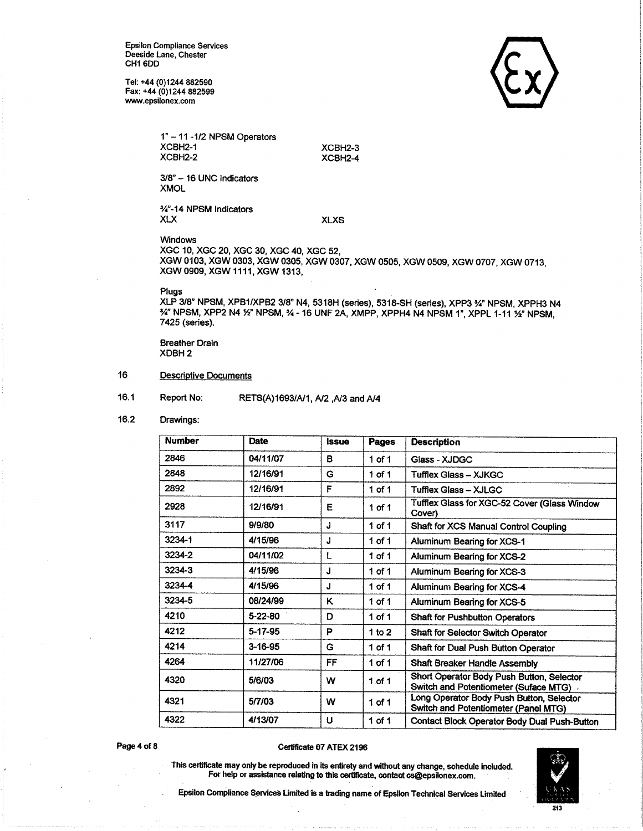Tel: +44 (0)1244 882590 Fax: +44 (0)1244 882599 www.epsilonex.com



1" - 11 - 1/2 NPSM Operators XCBH<sub>2-1</sub> XCBH<sub>2-2</sub>

XCBH2-3 XCBH2-4

3/8" - 16 UNC Indicators **XMOL** 

%"-14 NPSM Indicators **XLX** 

**XLXS** 

Windows

XGC 10, XGC 20, XGC 30, XGC 40, XGC 52, XGW 0103, XGW 0303, XGW 0305, XGW 0307, XGW 0505, XGW 0509, XGW 0707, XGW 0713, XGW 0909, XGW 1111, XGW 1313,

Plugs

XLP 3/8" NPSM, XPB1/XPB2 3/8" N4, 5318H (series), 5318-SH (series), XPP3 %" NPSM, XPPH3 N4 34" NPSM, XPP2 N4 1/2" NPSM, 34 - 16 UNF 2A, XMPP, XPPH4 N4 NPSM 1", XPPL 1-11 1/2" NPSM, 7425 (series).

**Breather Drain** XDBH<sub>2</sub>

- 16 Descriptive Documents
- $16.1$ Report No: RETS(A)1693/A/1, A/2, A/3 and A/4
- $16.2$ Drawings:

| <b>Number</b> | Date          | <i><b>Issue</b></i> | Pages      | <b>Description</b>                                                                 |
|---------------|---------------|---------------------|------------|------------------------------------------------------------------------------------|
| 2846          | 04/11/07      | B                   | $1$ of $1$ | Glass - XJDGC                                                                      |
| 2848          | 12/16/91      | G                   | $1$ of $1$ | Tufflex Glass - XJKGC                                                              |
| 2892          | 12/16/91      | F                   | $1$ of $1$ | Tufflex Glass - XJLGC                                                              |
| 2928          | 12/16/91      | E                   | 1 of 1     | Tufflex Glass for XGC-52 Cover (Glass Window<br>Cover)                             |
| 3117          | 9/9/80        | J                   | $1$ of $1$ | Shaft for XCS Manual Control Coupling                                              |
| 3234-1        | 4/15/96       | J                   | $1$ of $1$ | Aluminum Bearing for XCS-1                                                         |
| 3234-2        | 04/11/02      | L                   | $1$ of $1$ | Aluminum Bearing for XCS-2                                                         |
| 3234-3        | 4/15/96       | J                   | $1$ of $1$ | Aluminum Bearing for XCS-3                                                         |
| 3234-4        | 4/15/96       | J                   | $1$ of $1$ | Aluminum Bearing for XCS-4                                                         |
| 3234-5        | 08/24/99      | κ                   | $1$ of $1$ | Aluminum Bearing for XCS-5                                                         |
| 4210          | $5-22-80$     | D                   | 1 of 1     | <b>Shaft for Pushbutton Operators</b>                                              |
| 4212          | 5-17-95       | P                   | 1 to $2$   | Shaft for Selector Switch Operator                                                 |
| 4214          | $3 - 16 - 95$ | G                   | $1$ of $1$ | Shaft for Dual Push Button Operator                                                |
| 4264          | 11/27/06      | FF                  | 1 of $1$   | Shaft Breaker Handle Assembly                                                      |
| 4320          | 5/6/03        | w                   | 1 of 1     | Short Operator Body Push Button, Selector<br>Switch and Potentiometer (Suface MTG) |
| 4321          | 5/7/03        | w                   | $1$ of $1$ | Long Operator Body Push Button, Selector<br>Switch and Potentiometer (Panel MTG)   |
| 4322          | 4/13/07       | υ.                  | $1$ of $1$ | Contact Block Operator Body Dual Push-Button                                       |

Page 4 of 8

#### Certificate 07 ATEX 2196



This certificate may only be reproduced in its entirety and without any change, schedule included. For help or assistance relating to this certificate, contact cs@epsilonex.com.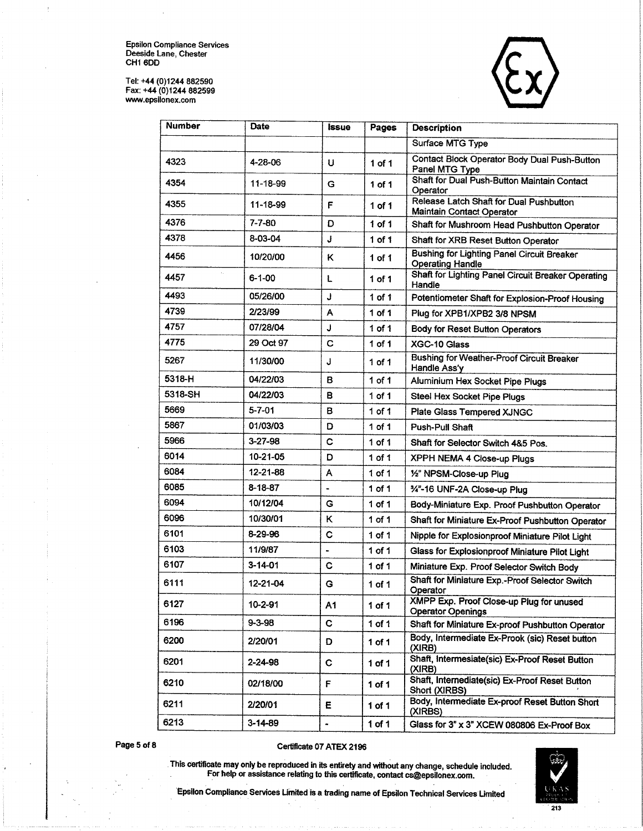Tel: +44 (0)1244 882590<br>Fax: +44 (0)1244 882599 www.epsilonex.com



| <b>Number</b> | <b>Date</b>   | Issue               | Pages      | <b>Description</b>                                                           |
|---------------|---------------|---------------------|------------|------------------------------------------------------------------------------|
|               |               |                     |            | Surface MTG Type                                                             |
| 4323          | 4-28-06       | U                   | $1$ of $1$ | <b>Contact Block Operator Body Dual Push-Button</b><br>Panel MTG Type        |
| 4354          | 11-18-99      | G                   | $1$ of $1$ | Shaft for Dual Push-Button Maintain Contact<br>Operator                      |
| 4355          | 11-18-99      | F                   | 1 of 1     | Release Latch Shaft for Dual Pushbutton<br>Maintain Contact Operator         |
| 4376          | $7 - 7 - 80$  | D                   | $1$ of $1$ | Shaft for Mushroom Head Pushbutton Operator                                  |
| 4378          | 8-03-04       | J                   | $1$ of $1$ | Shaft for XRB Reset Button Operator                                          |
| 4456          | 10/20/00      | Κ                   | 1 of 1     | <b>Bushing for Lighting Panel Circuit Breaker</b><br><b>Operating Handle</b> |
| 4457          | $6 - 1 - 00$  | L                   | 1 of 1     | Shaft for Lighting Panel Circuit Breaker Operating<br>Handle                 |
| 4493          | 05/26/00      | J                   | $1$ of $1$ | Potentiometer Shaft for Explosion-Proof Housing                              |
| 4739          | 2/23/99       | Α                   | $1$ of 1   | Plug for XPB1/XPB2 3/8 NPSM                                                  |
| 4757          | 07/28/04      | J                   | $1$ of $1$ | Body for Reset Button Operators                                              |
| 4775          | 29 Oct 97     | C                   | 1 of 1     | XGC-10 Glass                                                                 |
| 5267          | 11/30/00      | J                   | $1$ of $1$ | <b>Bushing for Weather-Proof Circuit Breaker</b><br>Handle Ass'y             |
| 5318-H        | 04/22/03      | в                   | $1$ of $1$ | Aluminium Hex Socket Pipe Plugs                                              |
| 5318-SH       | 04/22/03      | в                   | $1$ of $1$ | <b>Steel Hex Socket Pipe Plugs</b>                                           |
| 5669          | $5 - 7 - 01$  | в                   | $1$ of $1$ | Plate Glass Tempered XJNGC                                                   |
| 5867          | 01/03/03      | D                   | $1$ of $1$ | <b>Push-Pull Shaft</b>                                                       |
| 5966          | $3 - 27 - 98$ | C                   | 1 of 1     | Shaft for Selector Switch 4&5 Pos.                                           |
| 6014          | 10-21-05      | D                   | $1$ of $1$ | <b>XPPH NEMA 4 Close-up Plugs</b>                                            |
| 6084          | 12-21-88      | A                   | $1$ of $1$ | 1/2" NPSM-Close-up Plug                                                      |
| 6085          | 8-18-87       |                     | 1 of 1     | 34"-16 UNF-2A Close-up Plug                                                  |
| 6094          | 10/12/04      | G                   | 1 of 1     | Body-Miniature Exp. Proof Pushbutton Operator                                |
| 6096          | 10/30/01      | ĸ                   | $1$ of $1$ | Shaft for Miniature Ex-Proof Pushbutton Operator                             |
| 6101          | 8-29-96       | C                   | $1$ of $1$ | Nipple for Explosionproof Miniature Pilot Light                              |
| 6103          | 11/9/87       | $\hat{\phantom{a}}$ | 1 of 1     | Glass for Explosionproof Miniature Pilot Light                               |
| 6107          | $3 - 14 - 01$ | C                   | 1 of 1     | Miniature Exp. Proof Selector Switch Body                                    |
| 6111          | 12-21-04      | G                   | 1 of 1     | Shaft for Miniature Exp.-Proof Selector Switch<br>Operator                   |
| 6127          | 10-2-91       | A1                  | 1 of 1     | XMPP Exp. Proof Close-up Plug for unused<br><b>Operator Openings</b>         |
| 6196          | $9 - 3 - 98$  | C                   | 1 of $1$   | Shaft for Miniature Ex-proof Pushbutton Operator                             |
| 6200          | 2/20/01       | D                   | 1 of $1$   | Body, Intermediate Ex-Prook (sic) Reset button<br>(XIRB)                     |
| 6201          | 2-24-98       | C                   | 1 of $1$   | Shaft, Intermesiate(sic) Ex-Proof Reset Button<br>(X RB)                     |
| 6210          | 02/18/00      | F                   | 1 of 1     | Shaft, Internediate(sic) Ex-Proof Reset Button<br>Short (XIRBS)              |
| 6211          | 2/20/01       | E.                  | $1$ of $1$ | Body, Intermediate Ex-proof Reset Button Short<br>(XIRBS)                    |
| 6213          | $3 - 14 - 89$ | ٠                   | 1 of $1$   | Glass for 3" x 3" XCEW 080806 Ex-Proof Box                                   |

Page 5 of 8

### Certificate 07 ATEX 2196



This certificate may only be reproduced in its entirety and without any change, schedule included.<br>For help or assistance relating to this certificate, contact cs@epsilonex.com.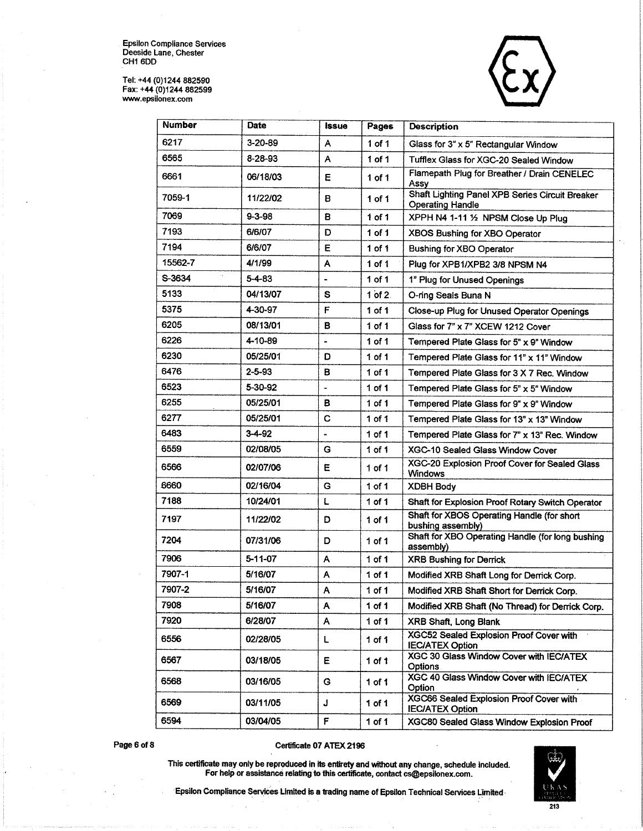Tel: +44 (0)1244 882590<br>Fax: +44 (0)1244 882599<br>www.epsilonex.com



| <b>Number</b> | Date          | <b>issue</b> | Pages             | <b>Description</b>                                                         |
|---------------|---------------|--------------|-------------------|----------------------------------------------------------------------------|
| 6217          | $3 - 20 - 89$ | A            | $1$ of $1$        | Glass for 3" x 5" Rectangular Window                                       |
| 6565          | 8-28-93       | A            | $1$ of $1$        | Tufflex Glass for XGC-20 Sealed Window                                     |
| 6661          | 06/18/03      | Ε            | $1$ of $1$        | Flamepath Plug for Breather / Drain CENELEC<br>Assy                        |
| 7059-1        | 11/22/02      | B            | 1 of 1            | Shaft Lighting Panel XPB Series Circuit Breaker<br><b>Operating Handle</b> |
| 7069          | $9 - 3 - 98$  | в            | 1 of 1            | XPPH N4 1-11 1/2 NPSM Close Up Plug                                        |
| 7193          | 6/6/07        | D            | $1$ of $1$        | XBOS Bushing for XBO Operator                                              |
| 7194          | 6/6/07        | Е            | 1 of 1            | <b>Bushing for XBO Operator</b>                                            |
| 15562-7       | 4/1/99        | A            | 1 of $1$          | Plug for XPB1/XPB2 3/8 NPSM N4                                             |
| S-3634        | $5 - 4 - 83$  |              | 1 of 1            | 1" Plug for Unused Openings                                                |
| 5133          | 04/13/07      | S            | $1$ of $2$ .      | O-ring Seals Buna N                                                        |
| 5375          | 4-30-97       | F            | $1$ of $1$        | Close-up Plug for Unused Operator Openings                                 |
| 6205          | 08/13/01      | в            | $1$ of $1$        | Glass for 7" x 7" XCEW 1212 Cover                                          |
| 6226          | 4-10-89       |              | 1 of 1            | Tempered Plate Glass for 5" x 9" Window                                    |
| 6230          | 05/25/01      | D            | 1 of 1            | Tempered Plate Glass for 11" x 11" Window                                  |
| 6476          | $2 - 5 - 93$  | в            | $1$ of $1$        | Tempered Plate Glass for 3 X 7 Rec. Window                                 |
| 6523          | 5-30-92       | ٠            | $1$ of $1$        | Tempered Plate Glass for 5" x 5" Window                                    |
| 6255          | 05/25/01      | в            | $1$ of $1$        | Tempered Plate Glass for 9" x 9" Window                                    |
| 6277          | 05/25/01      | c            | 1 of 1            | Tempered Plate Glass for 13" x 13" Window                                  |
| 6483          | $3 - 4 - 92$  |              | $1$ of $1$        | Tempered Plate Glass for 7" x 13" Rec. Window                              |
| 6559          | 02/08/05      | G            | 1 of 1            | XGC-10 Sealed Glass Window Cover                                           |
| 6566          | 02/07/06      | Е            | 1 of 1            | XGC-20 Explosion Proof Cover for Sealed Glass<br><b>Windows</b>            |
| 6660          | 02/16/04      | G            | $1$ of $1$        | <b>XDBH Body</b>                                                           |
| 7188          | 10/24/01      | L            | $1$ of $1$        | Shaft for Explosion Proof Rotary Switch Operator                           |
| 7197          | 11/22/02      | D            | $1$ of $1$        | Shaft for XBOS Operating Handle (for short<br>bushing assembly)            |
| 7204          | 07/31/06      | D            | $1$ of $1$        | Shaft for XBO Operating Handle (for long bushing<br>assembly)              |
| 7906          | 5-11-07       | A            | $1$ of $1$        | <b>XRB Bushing for Derrick</b>                                             |
| 7907-1        | 5/16/07       | Α            | $1$ of $1$        | Modified XRB Shaft Long for Derrick Corp.                                  |
| 7907-2        | 5/16/07       | Α            | 1 of 1            | Modified XRB Shaft Short for Derrick Corp.                                 |
| 7908          | 5/16/07       | Α            | 1 <sub>of</sub> 1 | Modified XRB Shaft (No Thread) for Derrick Corp.                           |
| 7920          | 6/28/07       | A            | $1$ of $1$        | <b>XRB Shaft, Long Blank</b>                                               |
| 6556          | 02/28/05      | L            | 1 of $1$          | XGC52 Sealed Explosion Proof Cover with<br><b>IEC/ATEX Option</b>          |
| 6567          | 03/18/05      | E            | $1$ of $1$        | XGC 30 Glass Window Cover with IEC/ATEX<br><b>Options</b>                  |
| 6568          | 03/16/05      | G            | 1 of $1$          | XGC 40 Glass Window Cover with IEC/ATEX<br>Option                          |
| 6569          | 03/11/05      | J            | 1 of $1$          | <b>XGC66 Sealed Explosion Proof Cover with</b><br><b>IEC/ATEX Option</b>   |
| 6594          | 03/04/05      | F            | $1$ of $1$        | <b>XGC80 Sealed Glass Window Explosion Proof</b>                           |

Page 6 of 8

### Certificate 07 ATEX 2196



This certificate may only be reproduced in its entirety and without any change, schedule included.<br>For help or assistance relating to this certificate, contact cs@epsilonex.com.

Epsilon Compliance Services Limited is a trading name of Epsilon Technical Services Limited

213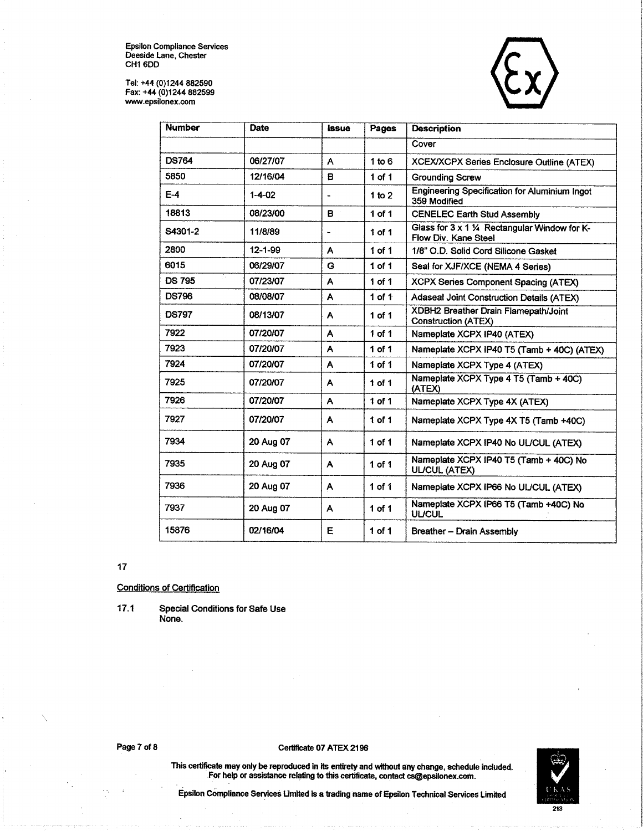Tel: +44 (0)1244 882590<br>Fax: +44 (0)1244 882599<br>www.epsilonex.com



| <b>Number</b> | Date          | <i><b>issue</b></i> | Pages             | <b>Description</b>                                                    |
|---------------|---------------|---------------------|-------------------|-----------------------------------------------------------------------|
|               |               |                     |                   | Cover                                                                 |
| <b>DS764</b>  | 06/27/07      | A                   | 1 to $6$          | XCEX/XCPX Series Enclosure Outline (ATEX)                             |
| 5850          | 12/16/04      | 8                   | $1$ of $1$        | <b>Grounding Screw</b>                                                |
| $E-4$         | $1 - 4 - 02$  |                     | 1 to $2$          | Engineering Specification for Aluminium Ingot<br>359 Modified         |
| 18813         | 08/23/00      | B.                  | 1 of 1            | <b>CENELEC Earth Stud Assembly</b>                                    |
| S4301-2       | 11/8/89       |                     | 1 of $1$          | Glass for 3 x 1 1/4 Rectangular Window for K-<br>Flow Div. Kane Steel |
| 2800          | $12 - 1 - 99$ | A                   | $1$ of $1$        | 1/8" O.D. Solid Cord Silicone Gasket                                  |
| 6015          | 06/29/07      | G                   | $1$ of $1$        | Seal for XJF/XCE (NEMA 4 Series)                                      |
| <b>DS 795</b> | 07/23/07      | A                   | $1$ of $1$        | XCPX Series Component Spacing (ATEX)                                  |
| <b>DS796</b>  | 08/08/07      | A                   | 1 of $1$          | Adaseal Joint Construction Details (ATEX)                             |
| <b>DS797</b>  | 08/13/07      | A                   | $1$ of $1$        | XDBH2 Breather Drain Flamepath/Joint<br><b>Construction (ATEX)</b>    |
| 7922          | 07/20/07      | A                   | 1 of 1            | Nameplate XCPX IP40 (ATEX)                                            |
| 7923          | 07/20/07      | A                   | 1 of 1            | Nameplate XCPX IP40 T5 (Tamb + 40C) (ATEX)                            |
| 7924          | 07/20/07      | A                   | 1 of 1            | Nameplate XCPX Type 4 (ATEX)                                          |
| 7925          | 07/20/07      | A                   | $1$ of $1$        | Nameplate XCPX Type 4 T5 (Tamb + 40C)<br>(ATEX)                       |
| 7926          | 07/20/07      | A                   | 1 of 1            | Nameplate XCPX Type 4X (ATEX)                                         |
| 7927          | 07/20/07      | A                   | $1$ of $1$        | Nameplate XCPX Type 4X T5 (Tamb +40C)                                 |
| 7934          | 20 Aug 07     | A.                  | $1$ of $1$        | Nameplate XCPX IP40 No UL/CUL (ATEX)                                  |
| 7935          | 20 Aug 07     | A                   | $1$ of $1$        | Nameplate XCPX IP40 T5 (Tamb + 40C) No<br><b>UL/CUL (ATEX)</b>        |
| 7936          | 20 Aug 07     | A                   | 1 of 1            | Nameplate XCPX IP66 No UL/CUL (ATEX)                                  |
| 7937          | 20 Aug 07     | A                   | 1 <sub>of</sub> 1 | Nameplate XCPX IP66 T5 (Tamb +40C) No<br><b>UL/CUL</b>                |
| 15876         | 02/16/04      | Ε                   | $1$ of $1$        | Breather - Drain Assembly                                             |

### $17$

**Conditions of Certification** 

 $17.1$ **Special Conditions for Safe Use** None.

### Certificate 07 ATEX 2196

This certificate may only be reproduced in its entirety and without any change, schedule included.<br>For help or assistance relating to this certificate, contact cs@epsilonex.com.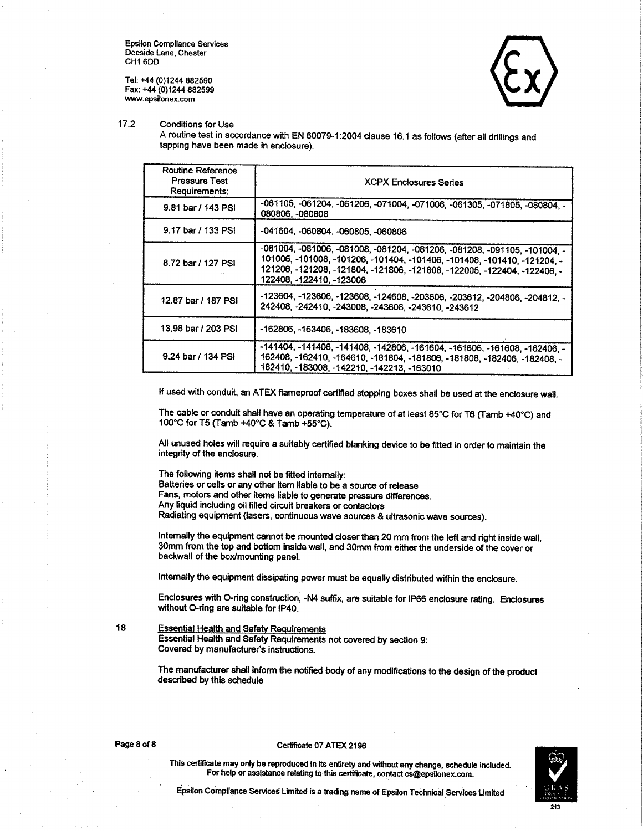Tel: +44 (0)1244 882590 Fax: +44 (0)1244 882599 www.epsilonex.com



 $17.2$ **Conditions for Use** 

> A routine test in accordance with EN 60079-1:2004 clause 16.1 as follows (after all drillings and tapping have been made in enclosure).

| <b>Routine Reference</b><br><b>Pressure Test</b><br>Requirements: | <b>XCPX Enclosures Series</b>                                                                                                                                                                                                                                 |
|-------------------------------------------------------------------|---------------------------------------------------------------------------------------------------------------------------------------------------------------------------------------------------------------------------------------------------------------|
| 9.81 bar / 143 PSI                                                | -061105, -061204, -061206, -071004, -071006, -061305, -071805, -080804, -<br>080806, -080808                                                                                                                                                                  |
| 9.17 bar / 133 PSI                                                | -041604, -060804, -060805, -060806                                                                                                                                                                                                                            |
| 8.72 bar / 127 PSI                                                | -081004, -081006, -081008, -081204, -081206, -081208, -091105, -101004, -<br>101006, -101008, -101206, -101404, -101406, -101408, -101410, -121204, -<br>121206, -121208, -121804, -121806, -121808, -122005, -122404, -122406, -<br>122408, -122410, -123006 |
| 12.87 bar / 187 PSI                                               | -123604, -123606, -123608, -124608, -203606, -203612, -204806, -204812, -<br>242408, -242410, -243008, -243608, -243610, -243612                                                                                                                              |
| 13.98 bar / 203 PSI                                               | -162806, -163406, -183608, -183610                                                                                                                                                                                                                            |
| 9.24 bar / 134 PSI                                                | -141404, -141406, -141408, -142806, -161604, -161606, -161608, -162406, -<br>162408, -162410, -164610, -181804, -181806, -181808, -182406, -182408, -<br>182410, -183008, -142210, -142213, -163010                                                           |

If used with conduit, an ATEX flameproof certified stopping boxes shall be used at the enclosure wall.

The cable or conduit shall have an operating temperature of at least 85°C for T6 (Tamb +40°C) and 100°C for T5 (Tamb +40°C & Tamb +55°C).

All unused holes will require a suitably certified blanking device to be fitted in order to maintain the integrity of the enclosure.

The following items shall not be fitted internally: Batteries or cells or any other item liable to be a source of release Fans, motors and other items liable to generate pressure differences. Any liquid including oil filled circuit breakers or contactors Radiating equipment (lasers, continuous wave sources & ultrasonic wave sources).

Internally the equipment cannot be mounted closer than 20 mm from the left and right inside wall, 30mm from the top and bottom inside wall, and 30mm from either the underside of the cover or backwall of the box/mounting panel.

Internally the equipment dissipating power must be equally distributed within the enclosure.

Enclosures with O-ring construction, -N4 suffix, are suitable for IP66 enclosure rating. Enclosures without O-ring are suitable for IP40.

18

#### **Essential Health and Safety Requirements** Essential Health and Safety Requirements not covered by section 9: Covered by manufacturer's instructions.

The manufacturer shall inform the notified body of any modifications to the design of the product described by this schedule

#### Page 8 of 8

#### Certificate 07 ATEX 2196

This certificate may only be reproduced in its entirety and without any change, schedule included. For help or assistance relating to this certificate, contact cs@epsilonex.com.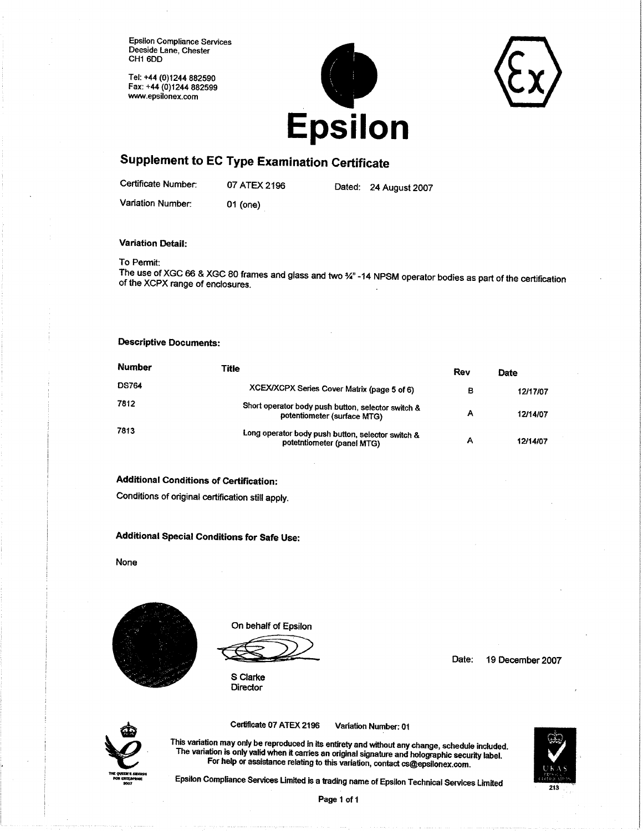Tel: +44 (0)1244 882590 Fax: +44 (0)1244 882599 www.epsilonex.com





# **Supplement to EC Type Examination Certificate**

Certificate Number:

07 ATEX 2196 01 (one)

Dated: 24 August 2007

Variation Number:

**Variation Detail:** 

### To Permit:

The use of XGC 66 & XGC 80 frames and glass and two 3/4" -14 NPSM operator bodies as part of the certification of the XCPX range of enclosures.

### **Descriptive Documents:**

| Number       | Title                                                                             | Rev | Date     |
|--------------|-----------------------------------------------------------------------------------|-----|----------|
| <b>DS764</b> | XCEX/XCPX Series Cover Matrix (page 5 of 6)                                       | в   | 12/17/07 |
| 7812         | Short operator body push button, selector switch &<br>potentiometer (surface MTG) | А   | 12/14/07 |
| 7813         | Long operator body push button, selector switch &<br>potetntiometer (panel MTG)   | А   | 12/14/07 |

### **Additional Conditions of Certification:**

Conditions of original certification still apply.

# Additional Special Conditions for Safe Use:

None



On behalf of Epsilon

S Clarke **Director** 

Date: 19 December 2007



Certificate 07 ATEX 2196 Variation Number: 01

This variation may only be reproduced in its entirety and without any change, schedule included. The variation is only valid when it carries an original signature and holographic security label. For help or assistance relating to this variation, contact cs@epsilonex.com.



Epsilon Compliance Services Limited is a trading name of Epsilon Technical Services Limited

Page 1 of 1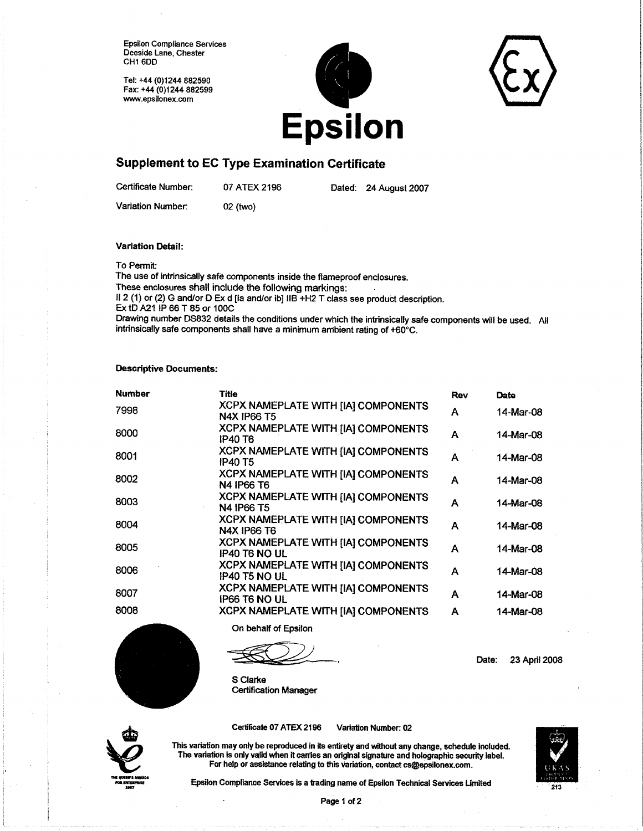Tel: +44 (0)1244 882590 Fax: +44 (0)1244 882599 www.epsilonex.com



### **Supplement to EC Type Examination Certificate**

Certificate Number:

07 ATEX 2196

Dated: 24 August 2007

Variation Number:

02 (two)

**Variation Detail:** 

To Permit:

The use of intrinsically safe components inside the flameproof enclosures. These enclosures shall include the following markings: Il 2 (1) or (2) G and/or D Ex d [ia and/or ib] IIB +H2 T class see product description. Ex tD A21 IP 66 T 85 or 100C

Drawing number DS832 details the conditions under which the intrinsically safe components will be used. All intrinsically safe components shall have a minimum ambient rating of +60°C.

### **Descriptive Documents:**

| <b>Number</b> | <b>Title</b>                                                       | Rev | Date      |
|---------------|--------------------------------------------------------------------|-----|-----------|
| 7998          | XCPX NAMEPLATE WITH [IA] COMPONENTS<br><b>N4X IP66 T5</b>          | A   | 14-Mar-08 |
| 8000          | <b>XCPX NAMEPLATE WITH [IA] COMPONENTS</b><br><b>IP40 T6</b>       | A   | 14-Mar-08 |
| 8001          | XCPX NAMEPLATE WITH [IA] COMPONENTS<br><b>IP40 T5</b>              | A   | 14-Mar-08 |
| 8002          | XCPX NAMEPLATE WITH [IA] COMPONENTS<br>N4 IP66 T6                  | A   | 14-Mar-08 |
| 8003          | XCPX NAMEPLATE WITH [IA] COMPONENTS<br><b>N4 IP66 T5</b>           | A   | 14-Mar-08 |
| 8004          | <b>XCPX NAMEPLATE WITH [IA] COMPONENTS</b><br><b>N4X IP66 T6</b>   | A   | 14-Mar-08 |
| 8005          | XCPX NAMEPLATE WITH [IA] COMPONENTS<br>IP40 T6 NO UL               | A   | 14-Mar-08 |
| 8006          | <b>XCPX NAMEPLATE WITH [IA] COMPONENTS</b><br><b>IP40 T5 NO UL</b> | A   | 14-Mar-08 |
| 8007          | <b>XCPX NAMEPLATE WITH [IA] COMPONENTS</b><br><b>IP66 T6 NO UL</b> | A   | 14-Mar-08 |
| 8008          | XCPX NAMEPLATE WITH [IA] COMPONENTS                                | A   | 14-Mar-08 |

On behalf of Epsilon

Date: 23 April 2008

S Clarke **Certification Manager** 



Certificate 07 ATEX 2196

Variation Number: 02

This variation may only be reproduced in its entirety and without any change, schedule included. The variation is only valid when it carries an original signature and holographic security label. For help or assistance relating to this variation, contact cs@epsilonex.com.

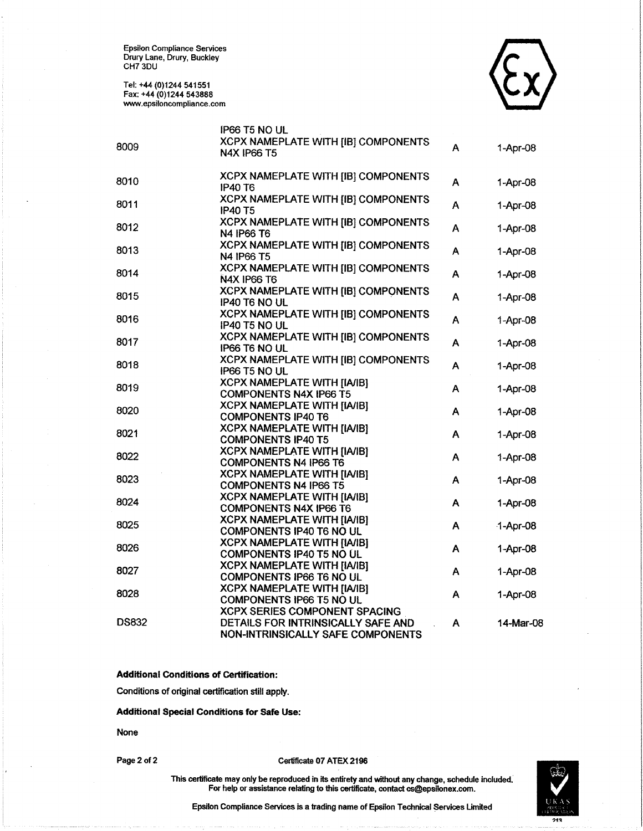Epsilon Compliance Seryices Drury Lane, Drury, Buckley cH7 30U

Tel: +44 (0)1244 541551 Fax: +44 (0)1244 543888 www.epsiloncompliance.com



|              | IP66 T5 NO UL                                                       |   |            |
|--------------|---------------------------------------------------------------------|---|------------|
|              | XCPX NAMEPLATE WITH [IB] COMPONENTS                                 |   |            |
| 8009         | <b>N4X IP66 T5</b>                                                  | A | 1-Apr-08   |
|              |                                                                     |   |            |
| 8010         | XCPX NAMEPLATE WITH [IB] COMPONENTS                                 | A | 1-Apr-08   |
|              | <b>IP40 T6</b>                                                      |   |            |
| 8011         | XCPX NAMEPLATE WITH [IB] COMPONENTS                                 | A | 1-Apr-08   |
|              | <b>IP40 T5</b>                                                      |   |            |
| 8012         | XCPX NAMEPLATE WITH [IB] COMPONENTS                                 | A | 1-Apr-08   |
|              | N4 IP66 T6                                                          |   |            |
| 8013         | XCPX NAMEPLATE WITH [IB] COMPONENTS                                 | A | 1-Apr-08   |
|              | N4 IP66 T5                                                          |   |            |
| 8014         | XCPX NAMEPLATE WITH [IB] COMPONENTS                                 | A | 1-Apr-08   |
|              | <b>N4X IP66 T6</b>                                                  |   |            |
| 8015         | XCPX NAMEPLATE WITH [IB] COMPONENTS                                 | A | 1-Apr-08   |
|              | IP40 T6 NO UL                                                       |   |            |
| 8016         | XCPX NAMEPLATE WITH [IB] COMPONENTS                                 | A | 1-Apr-08   |
|              | IP40 T5 NO UL                                                       |   |            |
| 8017         | XCPX NAMEPLATE WITH [IB] COMPONENTS                                 | A | 1-Apr-08   |
|              | IP66 T6 NO UL                                                       |   |            |
| 8018         | <b>XCPX NAMEPLATE WITH [IB] COMPONENTS</b>                          | A | 1-Apr-08   |
|              | IP66 T5 NO UL                                                       |   |            |
| 8019         | <b>XCPX NAMEPLATE WITH [IA/IB]</b><br><b>COMPONENTS N4X IP66 T5</b> | A | 1-Apr-08   |
|              | <b>XCPX NAMEPLATE WITH [IA/IB]</b>                                  |   |            |
| 8020         | <b>COMPONENTS IP40 T6</b>                                           | A | 1-Apr-08   |
|              | <b>XCPX NAMEPLATE WITH [IA/IB]</b>                                  |   |            |
| 8021         | <b>COMPONENTS IP40 T5</b>                                           | A | 1-Apr-08   |
|              | <b>XCPX NAMEPLATE WITH [IA/IB]</b>                                  |   |            |
| 8022         | <b>COMPONENTS N4 IP66 T6</b>                                        | A | 1-Apr-08   |
|              | <b>XCPX NAMEPLATE WITH [IA/IB]</b>                                  |   |            |
| 8023         | <b>COMPONENTS N4 IP66 T5</b>                                        | A | 1-Apr-08   |
|              | <b>XCPX NAMEPLATE WITH [IA/IB]</b>                                  |   |            |
| 8024         | <b>COMPONENTS N4X IP66 T6</b>                                       | A | $1-Apr-08$ |
|              | <b>XCPX NAMEPLATE WITH [IA/IB]</b>                                  |   |            |
| 8025         | COMPONENTS IP40 T6 NO UL                                            | A | 1-Apr-08   |
|              | <b>XCPX NAMEPLATE WITH [IA/IB]</b>                                  |   |            |
| 8026         | COMPONENTS IP40 T5 NO UL                                            | A | 1-Apr-08   |
|              | <b>XCPX NAMEPLATE WITH [IA/IB]</b>                                  |   |            |
| 8027         | <b>COMPONENTS IP66 T6 NO UL</b>                                     | A | 1-Apr-08   |
|              | <b>XCPX NAMEPLATE WITH [IA/IB]</b>                                  |   |            |
| 8028         | COMPONENTS IP66 T5 NO UL                                            | A | 1-Apr-08   |
|              | <b>XCPX SERIES COMPONENT SPACING</b>                                |   |            |
| <b>DS832</b> | DETAILS FOR INTRINSICALLY SAFE AND                                  | A | 14-Mar-08  |
|              | NON-INTRINSICALLY SAFE COMPONENTS                                   |   |            |

Additional Conditions of Certification:

Conditions of original certification still apply.

Additional Special Conditions for Safe Use:

None

Page 2 of 2 Certificate 07 ATEX 2196



This certificate may only be reproduced in its entirety and without any change, schedule included. For help or assistance relating to this certificate, contact cs@epsilonex.com.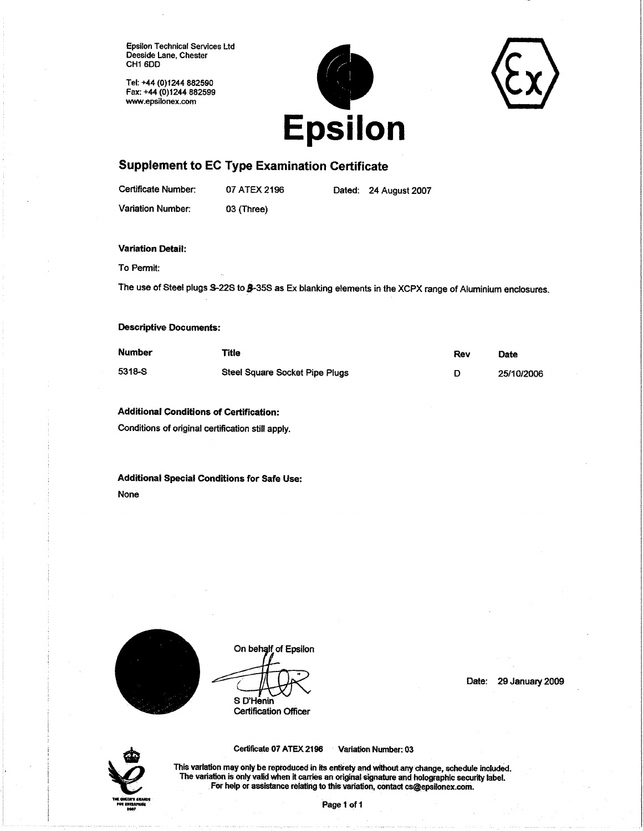**Epsilon Technical Services Ltd** Deeside Lane, Chester CH1 6DD

Tel: +44 (0)1244 882590 Fax: +44 (0)1244 882599 www.epsilonex.com



# **Supplement to EC Type Examination Certificate**

Certificate Number:

07 ATEX 2196

Dated: 24 August 2007

Variation Number:

03 (Three)

### **Variation Detail:**

To Permit:

The use of Steel plugs \$-22S to \$-35S as Ex blanking elements in the XCPX range of Aluminium enclosures.

### **Descriptive Documents:**

| <b>Number</b> | Title                          | Rev | <b>Date</b> |
|---------------|--------------------------------|-----|-------------|
| 5318-S        | Steel Square Socket Pipe Plugs |     | 25/10/2006  |

### **Additional Conditions of Certification:**

Conditions of original certification still apply.

Additional Special Conditions for Safe Use: None



On behalf of Epsilon S D'Henin

**Certification Officer** 

Date: 29 January 2009



Certificate 07 ATEX 2196 Variation Number: 03

This variation may only be reproduced in its entirety and without any change, schedule included. The variation is only valid when it carries an original signature and holographic security label. For help or assistance relating to this variation, contact cs@epsilonex.com.

Page 1 of 1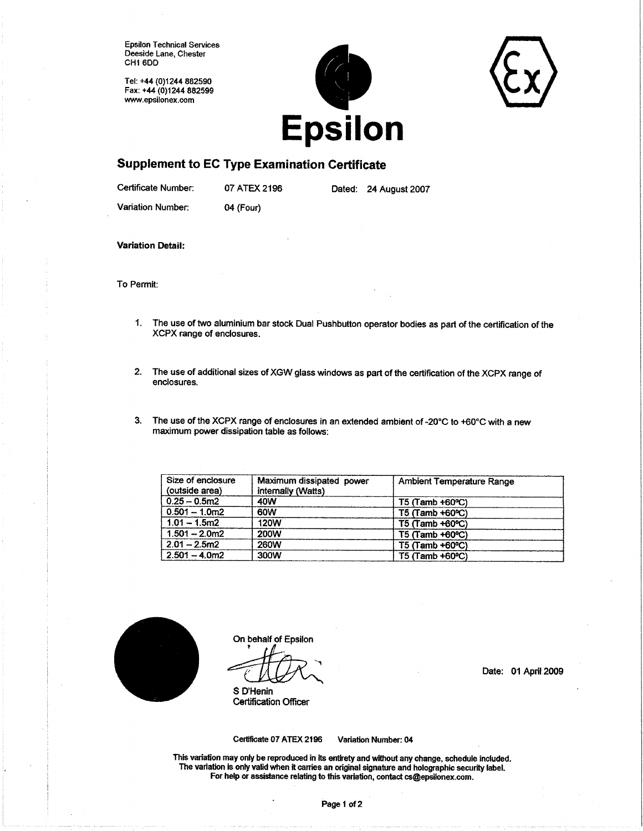**Epsilon Technical Services** Deeside Lane, Chester CH1 6DD

Tel: +44 (0)1244 882590 Fax: +44 (0)1244 882599 www.epsilonex.com



### **Supplement to EC Type Examination Certificate**

Certificate Number:

07 ATEX 2196

Dated: 24 August 2007

Variation Number:

04 (Four)

**Variation Detail:** 

To Permit:

- 1. The use of two aluminium bar stock Dual Pushbutton operator bodies as part of the certification of the XCPX range of enclosures.
- The use of additional sizes of XGW glass windows as part of the certification of the XCPX range of  $2.$ enclosures.
- $3.$ The use of the XCPX range of enclosures in an extended ambient of -20°C to +60°C with a new maximum power dissipation table as follows:

| Size of enclosure<br>(outside area) | Maximum dissipated power<br>internally (Watts) | <b>Ambient Temperature Range</b> |
|-------------------------------------|------------------------------------------------|----------------------------------|
| $0.25 - 0.5$ m2                     | 40W                                            | $T5$ (Tamb +60 $^{\circ}$ C)     |
| $0.501 - 1.0m2$                     | 60W                                            | $T5$ (Tamb +60 °C)               |
| $1.01 - 1.5m2$                      | <b>120W</b>                                    | $T5$ (Tamb +60 $^{\circ}$ C)     |
| $1.501 - 2.0m2$                     | <b>200W</b>                                    | $T5$ (Tamb +60 $^{\circ}$ C)     |
| $2.01 - 2.5m2$                      | <b>260W</b>                                    | $T5$ (Tamb +60 $^{\circ}$ C)     |
| $2.501 - 4.0m2$                     | 300W                                           | $T5$ (Tamb +60 $^{\circ}$ C)     |



On behalf of Epsilon

S D'Henin **Certification Officer**  Date: 01 April 2009

Certificate 07 ATEX 2196

Variation Number: 04

This variation may only be reproduced in its entirety and without any change, schedule included. The variation is only valid when it carries an original signature and holographic security label. For help or assistance relating to this variation, contact cs@epsilonex.com.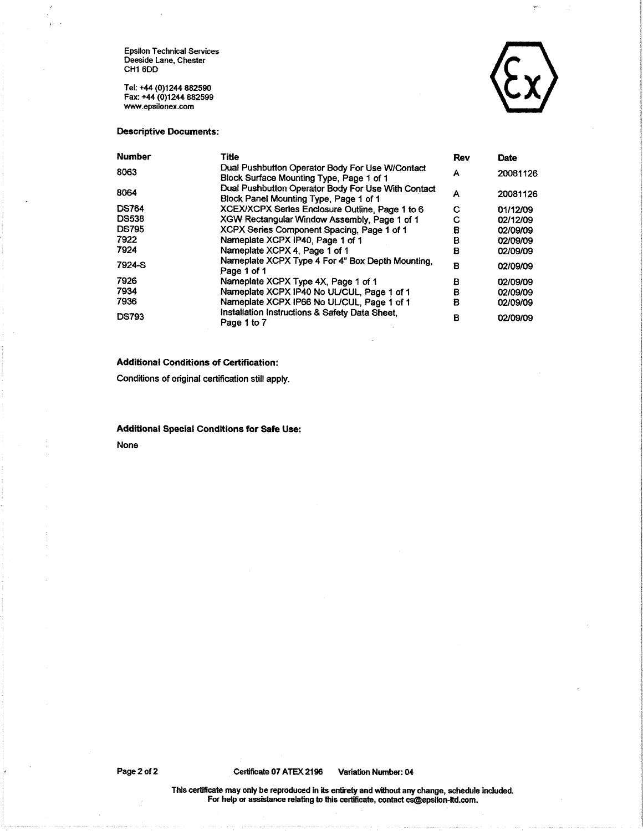Epsilon Technical Services<br>Deeside Lane, Chester<br>CH1 6DD

зì.

Tel: +44 (0)1244 882590 Fax: +44 (0)1244 882599 www.epsilonex.com



Y

### **Descriptive Documents:**

| <b>Number</b> | Title                                                                                        | <b>Rev</b> | <b>Date</b> |
|---------------|----------------------------------------------------------------------------------------------|------------|-------------|
| 8063          | Dual Pushbutton Operator Body For Use W/Contact<br>Block Surface Mounting Type, Page 1 of 1  | А          | 20081126    |
| 8064          | Dual Pushbutton Operator Body For Use With Contact<br>Block Panel Mounting Type, Page 1 of 1 | Α          | 20081126    |
| <b>DS764</b>  | XCEX/XCPX Series Enclosure Outline, Page 1 to 6                                              | С          | 01/12/09    |
| <b>DS538</b>  | XGW Rectangular Window Assembly, Page 1 of 1                                                 | с          | 02/12/09    |
| <b>DS795</b>  | XCPX Series Component Spacing, Page 1 of 1                                                   | в          | 02/09/09    |
| 7922          | Nameplate XCPX IP40, Page 1 of 1                                                             | в          | 02/09/09    |
| 7924          | Nameplate XCPX 4. Page 1 of 1                                                                | B          | 02/09/09    |
| 7924-S        | Nameplate XCPX Type 4 For 4" Box Depth Mounting,<br>Page 1 of 1                              | в          | 02/09/09    |
| 7926          | Nameplate XCPX Type 4X, Page 1 of 1                                                          | в          | 02/09/09    |
| 7934          | Nameplate XCPX IP40 No UL/CUL, Page 1 of 1                                                   | в          | 02/09/09    |
| 7936          | Nameplate XCPX IP66 No UL/CUL, Page 1 of 1                                                   | в          | 02/09/09    |
| <b>DS793</b>  | Installation Instructions & Safety Data Sheet.<br>Page 1 to 7                                | в          | 02/09/09    |

### **Additional Conditions of Certification:**

Conditions of original certification still apply.

### **Additional Special Conditions for Safe Use:**

None

Variation Number: 04

This certificate may only be reproduced in its entirety and without any change, schedule included.<br>For help or assistance relating to this certificate, contact cs@epsilon-ltd.com.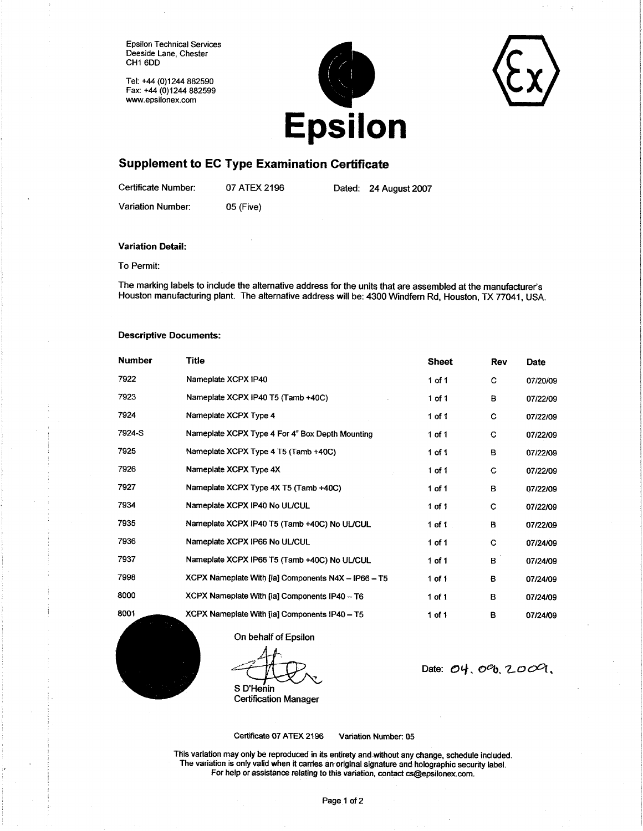**Epsilon Technical Services** Deeside Lane, Chester CH1 6DD

Tel: +44 (0)1244 882590 Fax: +44 (0)1244 882599 www.epsilonex.com



# **Supplement to EC Type Examination Certificate**

Certificate Number: 07 ATEX 2196 Dated: 24 August 2007 Variation Number: 05 (Five)

#### **Variation Detail:**

To Permit:

The marking labels to include the alternative address for the units that are assembled at the manufacturer's Houston manufacturing plant. The alternative address will be: 4300 Windfern Rd, Houston, TX 77041, USA.

### **Descriptive Documents:**

| <b>Number</b>  | Title                                               | <b>Sheet</b> | Rev | <b>Date</b> |
|----------------|-----------------------------------------------------|--------------|-----|-------------|
| 7922           | Nameplate XCPX IP40                                 | 1 of 1       | c   | 07/20/09    |
| 7923           | Nameplate XCPX IP40 T5 (Tamb +40C)                  | $1$ of $1$   | в   | 07/22/09    |
| 7924           | Nameplate XCPX Type 4                               | $1$ of $1$   | C   | 07/22/09    |
| 7924-S         | Nameplate XCPX Type 4 For 4" Box Depth Mounting     | 1 of 1       | c   | 07/22/09    |
| 7925           | Nameplate XCPX Type 4 T5 (Tamb +40C)                | $1$ of $1$   | в   | 07/22/09    |
| 7926           | Nameplate XCPX Type 4X                              | $1$ of $1$   | C   | 07/22/09    |
| 7927           | Nameplate XCPX Type 4X T5 (Tamb +40C)               | 1 of 1       | в   | 07/22/09    |
| 7934           | Nameplate XCPX IP40 No UL/CUL                       | $1$ of $1$   | c   | 07/22/09    |
| 7935           | Nameplate XCPX IP40 T5 (Tamb +40C) No UL/CUL        | $1$ of $1$   | в   | 07/22/09    |
| 7936           | Nameplate XCPX IP66 No UL/CUL                       | 1 of 1       | C   | 07/24/09    |
| 7937           | Nameplate XCPX IP66 T5 (Tamb +40C) No UL/CUL        | $1$ of $1$   | в   | 07/24/09    |
| 7998           | XCPX Nameplate With [ia] Components N4X - IP66 - T5 | 1 of 1       | в   | 07/24/09    |
| 8000           | XCPX Nameplate With [ia] Components IP40 - T6       | 1 of 1       | в   | 07/24/09    |
| 8001<br>$\sim$ | XCPX Nameplate With [ia] Components IP40 - T5       | $1$ of 1     | в   | 07/24/09    |

On behalf of Epsilon

S D'Henin

**Certification Manager** 

Date: 04, 0%, 2009,

Certificate 07 ATEX 2196

Variation Number: 05

This variation may only be reproduced in its entirety and without any change, schedule included. The variation is only valid when it carries an original signature and holographic security label. For help or assistance relating to this variation, contact cs@epsilonex.com.